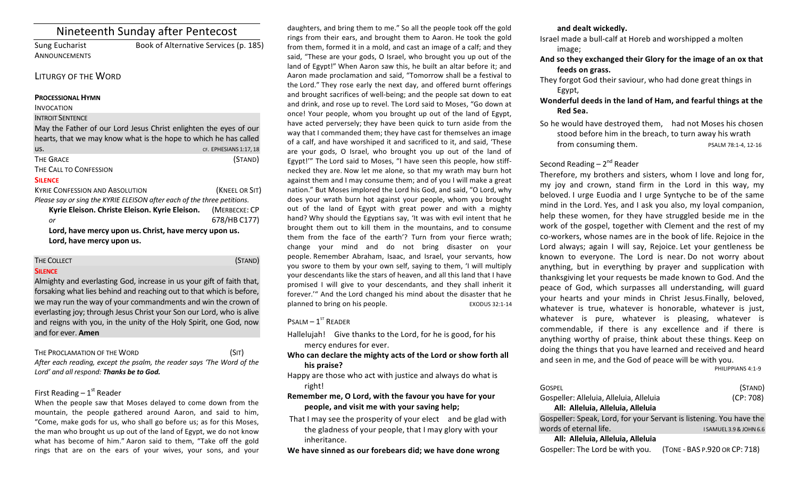# Nineteenth Sunday after Pentecost

**ANNOUNCEMENTS** 

Sung Eucharist Book of Alternative Services (p. 185)

## LITURGY OF THE WORD

#### **PROCESSIONAL HYMN**

INVOCATION

## **INTROIT SENTENCE**

May the Father of our Lord Jesus Christ enlighten the eyes of our hearts, that we may know what is the hope to which he has called us. CF. EPHESIANS 1:17, 18 THE GRACE (STAND)

THE CALL TO CONFESSION

## **SILENCE**

KYRIE CONFESSION AND ABSOLUTION *INCODEL CONFESSION* AND ABSOLUTION *Please say or sing the KYRIE ELEISON after each of the three petitions.* **Kyrie Eleison. Christe Eleison. Kyrie Eleison.** (MERBECKE: CP *or* 678/HB C177) Lord, have mercy upon us. Christ, have mercy upon us. Lord, have mercy upon us.

## THE COLLECT (STAND)

#### **SILENCE**

Almighty and everlasting God, increase in us your gift of faith that, forsaking what lies behind and reaching out to that which is before, we may run the way of your commandments and win the crown of everlasting joy; through Jesus Christ your Son our Lord, who is alive and reigns with you, in the unity of the Holy Spirit, one God, now and for ever. **Amen** 

## THE PROCLAMATION OF THE WORD (SIT) After each reading, except the psalm, the reader says 'The Word of the Lord' and all respond: Thanks be to God.

## First Reading  $-1<sup>st</sup>$  Reader

When the people saw that Moses delayed to come down from the mountain, the people gathered around Aaron, and said to him, "Come, make gods for us, who shall go before us; as for this Moses, the man who brought us up out of the land of Egypt, we do not know what has become of him." Aaron said to them, "Take off the gold rings that are on the ears of your wives, your sons, and your

daughters, and bring them to me." So all the people took off the gold rings from their ears, and brought them to Aaron. He took the gold from them, formed it in a mold, and cast an image of a calf; and they said, "These are your gods, O Israel, who brought you up out of the land of Egypt!" When Aaron saw this, he built an altar before it; and Aaron made proclamation and said, "Tomorrow shall be a festival to the Lord." They rose early the next day, and offered burnt offerings and brought sacrifices of well-being; and the people sat down to eat and drink, and rose up to revel. The Lord said to Moses, "Go down at once! Your people, whom you brought up out of the land of Egypt, have acted perversely; they have been quick to turn aside from the way that I commanded them; they have cast for themselves an image of a calf, and have worshiped it and sacrificed to it, and said, 'These are your gods, O Israel, who brought you up out of the land of Egypt!" The Lord said to Moses, "I have seen this people, how stiffnecked they are. Now let me alone, so that my wrath may burn hot against them and I may consume them; and of you I will make a great nation." But Moses implored the Lord his God, and said, "O Lord, why does your wrath burn hot against your people, whom you brought out of the land of Egypt with great power and with a mighty hand? Why should the Egyptians say, 'It was with evil intent that he brought them out to kill them in the mountains, and to consume them from the face of the earth'? Turn from your fierce wrath; change your mind and do not bring disaster on your people. Remember Abraham, Isaac, and Israel, your servants, how you swore to them by your own self, saying to them, 'I will multiply your descendants like the stars of heaven, and all this land that I have promised I will give to your descendants, and they shall inherit it forever.'" And the Lord changed his mind about the disaster that he planned to bring on his people. EXODUS 32:1-14

# $P$ SALM –  $1<sup>ST</sup>$  READER

Hallelujah! Give thanks to the Lord, for he is good, for his mercy endures for ever.

Who can declare the mighty acts of the Lord or show forth all his praise?

Happy are those who act with justice and always do what is right!

## Remember me, O Lord, with the favour you have for your people, and visit me with your saving help;

That I may see the prosperity of your elect and be glad with the gladness of your people, that I may glory with your inheritance.

We have sinned as our forebears did; we have done wrong

## **and dealt wickedly.**

Israel made a bull-calf at Horeb and worshipped a molten image;

## And so they exchanged their Glory for the image of an ox that feeds on grass.

They forgot God their saviour, who had done great things in Egypt,

**Wonderful deeds in the land of Ham, and fearful things at the Red Sea.**

So he would have destroyed them, had not Moses his chosen stood before him in the breach, to turn away his wrath from consuming them. The SALM 78:1-4, 12-16

## Second Reading  $- 2<sup>nd</sup>$  Reader

Therefore, my brothers and sisters, whom I love and long for, my joy and crown, stand firm in the Lord in this way, my beloved. I urge Euodia and I urge Syntyche to be of the same mind in the Lord. Yes, and I ask you also, my loyal companion, help these women, for they have struggled beside me in the work of the gospel, together with Clement and the rest of my co-workers, whose names are in the book of life. Rejoice in the Lord always; again I will say, Rejoice. Let your gentleness be known to everyone. The Lord is near. Do not worry about anything, but in everything by prayer and supplication with thanksgiving let your requests be made known to God. And the peace of God, which surpasses all understanding, will guard your hearts and your minds in Christ Jesus.Finally, beloved, whatever is true, whatever is honorable, whatever is just, whatever is pure, whatever is pleasing, whatever is commendable, if there is any excellence and if there is anything worthy of praise, think about these things. Keep on doing the things that you have learned and received and heard and seen in me, and the God of peace will be with you.

 PHILIPPIANS 4:1-9

| GOSPEL                                                              | (STAND)                       |  |
|---------------------------------------------------------------------|-------------------------------|--|
| Gospeller: Alleluia, Alleluia, Alleluia                             | (CP: 708)                     |  |
| All: Alleluia, Alleluia, Alleluia                                   |                               |  |
| Gospeller: Speak, Lord, for your Servant is listening. You have the |                               |  |
| words of eternal life.                                              | I SAMUEL 3.9 & JOHN 6.6       |  |
| All: Alleluia, Alleluia, Alleluia                                   |                               |  |
| Gospeller: The Lord be with you.                                    | (TONE - BAS P.920 OR CP: 718) |  |